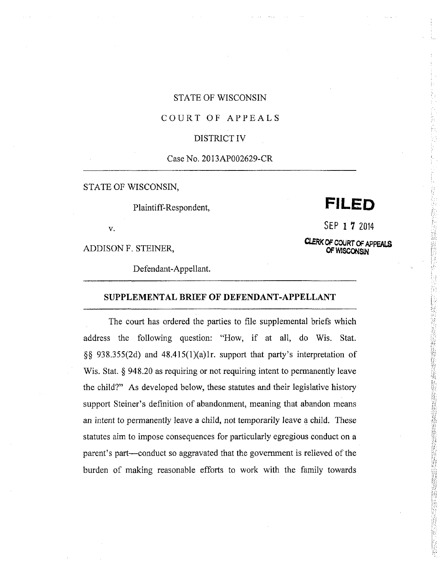## STATE OF WISCONSIN

# COURT OF APPEALS

### DISTRICT IV

# Case No. 2013AP002629-CR

STATE OF WISCONSIN,

# Plaintiff-Respondent, **FILED**

SEP 1 *1* 2014

CLERK OF COURT OF APPEALS **OF WISCONSIN**

**v.**

ADDISON F. STEINER,

Defendant-Appellant.

### **SUPPLEMENTAL BRIEF OF DEFENDANT-APPELLANT**

The court has ordered the parties to file supplemental briefs which address the following question: "How, if at all, do Wis. Stat. §§ 938.355(2d) and 48.415(1)(a)1r. support that party's interpretation of Wis. Stat. § 948.20 as requiring or not requiring intent to permanently leave the child?" As developed below, these statutes and their legislative history support Steiner's definition of abandonment, meaning that abandon means an intent to permanently leave a child, not temporarily leave a child. These statutes aim to impose consequences for particularly egregious conduct on <sup>a</sup> parent's part—conduct so aggravated that the government is relieved of the burden of making reasonable efforts to work with the family towards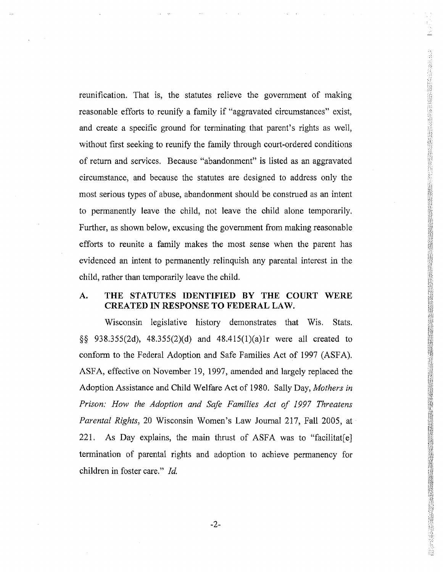reunification. That is, the statutes relieve the government of making reasonable efforts to reunify <sup>a</sup> family if "aggravated circumstances" exist, and create <sup>a</sup> specific ground for terminating that parent's rights as well, without first seeking to reunify the family through court-ordered conditions of return and services. Because "abandonment" is listed as an aggravated circumstance, and because the statutes are designed to address only the most serious types of abuse, abandonment should be construed as an intent to permanently leave the child, not leave the child alone temporarily. Further, as shown below, excusing the government from making reasonable efforts to reunite a family makes the most sense when the parent has evidenced an intent to permanently relinquish any parental interest in the child, rather than temporarily leave the child.

#### THE STATUTES IDENTIFIED BY THE COURT WERE CREATED IN RESPONSE TO FEDERAL LAW. A.

*m***:-:=u**

*<i><b><i>r* 

1

**1i il**

**1 I**

**INSTRUCTION** 

**•••**

Wisconsin legislative history demonstrates that Wis. Stats. §§ 938.355(2d), 48.355(2)(d) and 48.415(l)(a)lr were all created to conform to the Federal Adoption and Safe Families Act of 1997 (ASFA). ASFA, effective on November 19, 1997, amended and largely replaced the Adoption Assistance and Child Welfare Act of 1980. Sally Day, *Mothers in Prison: How the Adoption and Safe Families Act of 1997 Threatens Parental Rights,* <sup>20</sup> Wisconsin Women's Law Journal 217, Fall 2005, at 221. As Day explains, the main thrust of ASFA was to "facilitat[e] termination of parental rights and adoption to achieve permanency for children in foster care." *Id.*

-2-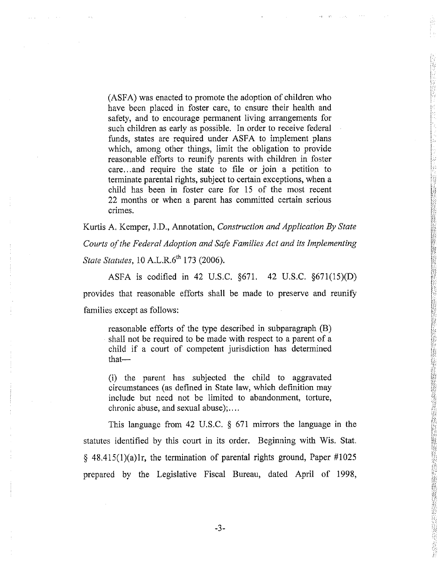(ASFA) was enacted to promote the adoption of children who have been placed in foster care, to ensure their health and safety, and to encourage permanent living arrangements for such children as early as possible. In order to receive federal funds, states are required under ASFA to implement plans which, among other things, limit the obligation to provide reasonable efforts to reunify parents with children in foster care...and require the state to file or join a petition to terminate parental rights, subject to certain exceptions, when a child has been in foster care for <sup>15</sup> of the most recent 22 months or when a parent has committed certain serious crimes. which, among other things, limit the obligation to provide<br>reasonable efforts to reunify parents with children in foster<br>care...and require the state to file or join a petition to<br>terminate parental rights, subject to cert

**!.Vi**

经经营经营的 医膀胱肾上腺炎 计数据数据

ţ.,

*m*

**fa!**

**II«M**

*m***|**

**a ..**

**>•' aiaI**

**V**

**;0ia**

**-•7**

**a** *iti*

**I?T**

*\$*

**1** *ftu*

**I T**

Kurtis A, Kemper, J.D., Annotation, *Construction and Application By State Courts ofthe Federal Adoption and Safe Families Act and its Implementing State Statutes,* 10 A.L.R.6<sup>th</sup> 173 (2006).

ASFA is codified in 42 U.S.C. §671. 42 U.S.C. §671(15)(D) provides that reasonable efforts shall be made to preserve and reunify families except as follows:

reasonable efforts of the type described in subparagraph (B) shall not be required to be made with respect to a parent of a child if <sup>a</sup> court of competent jurisdiction has determined

(i) the parent has subjected the child to aggravated circumstances (as defined in State law, which definition may include but need not be limited to abandonment, torture, chronic abuse, and sexual abuse);....

This language from 42 U.S.C. § 671 mirrors the language in the statutes identified by this court in its order. Beginning with Wis. Stat.  $§$  48.415(1)(a)lr, the termination of parental rights ground, Paper #1025 prepared by the Legislative Fiscal Bureau, dated April of 1998,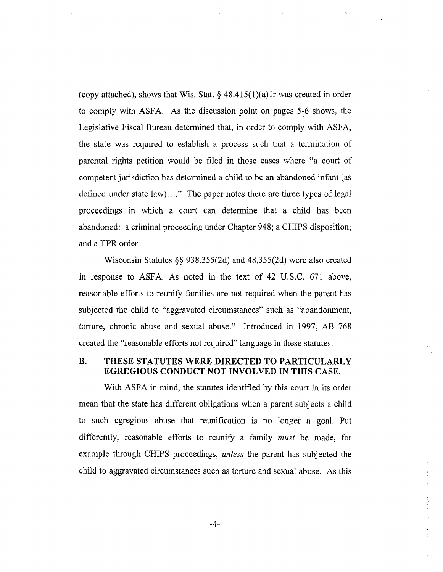(copy attached), shows that Wis. Stat.  $\S$  48.415(1)(a)1r was created in order to comply with ASFA. As the discussion point on pages 5-6 shows, the Legislative Fiscal Bureau determined that, in order to comply with ASFA, the state was required to establish <sup>a</sup> process such that <sup>a</sup> termination of parental rights petition would be filed in those cases where "a court of competent jurisdiction has determined a child to be an abandoned infant (as defined under state law)...." The paper notes there are three types of legal proceedings in which a court can determine that a child has been abandoned: a criminal proceeding under Chapter 948; a CHIPS disposition; and a TPR order.

Wisconsin Statutes §§ 938.355(2d) and 48.355(2d) were also created in response to ASFA. As noted in the text of 42 U.S.C. 671 above, reasonable efforts to reunify families are not required when the parent has subjected the child to "aggravated circumstances" such as "abandonment, torture, chronic abuse and sexual abuse." Introduced in 1997, AB <sup>768</sup> created the "reasonable efforts not required" language in these statutes.

# **B. THESE STATUTES WERE DIRECTED TO PARTICULARLY EGREGIOUS CONDUCT NOT INVOLVED IN THIS** CASE.

With ASFA in mind, the statutes identified by this court in its order mean that the state has different obligations when a parent subjects a child to such egregious abuse that reunification is no longer a goal. Put differently, reasonable efforts to reunify a family *must* be made, for example through CHIPS proceedings, *unless* the parent has subjected the child to aggravated circumstances such as torture and sexual abuse. As this

**i**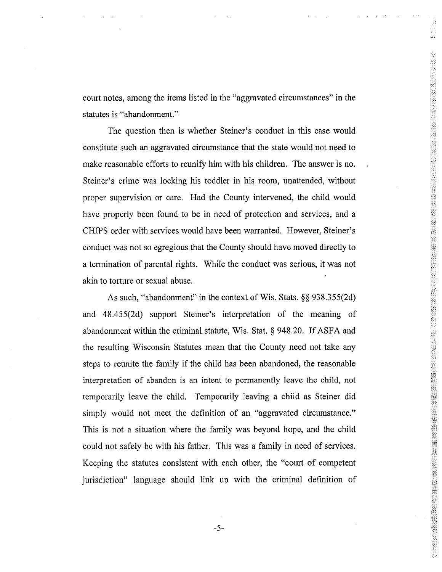court notes, among the items listed in the "aggravated circumstances" in the statutes is "abandonment."

Lii

了,我们的时候,我们的人们的,我们的人们的,我们的人们的,我们就会把我们的,我们的,我们就会把我们的,我们就会把我们的,我们就会把我们的,我们就会把我们的,我们<br>第2332章 我们的,我们的人们的,我们的人们的,我们就会把我们的,我们就会把我们的。我们的,我们就会把我们的,我们就会把我们的,我们就会把我们的,我们就会把我

The question then is whether Steiner's conduct in this case would constitute such an aggravated circumstance that the state would not need to make reasonable efforts to reunify him with his children. The answer is no. Steiner's crime was locking his toddler in his room, unattended, without proper supervision or care. Had the County intervened, the child would have properly been found to be in need of protection and services, and <sup>a</sup> CHIPS order with services would have been warranted. However, Steiner's conduct was not so egregious that the County should have moved directly to <sup>a</sup> termination of parental rights. While the conduct was serious, it was not akin to torture or sexual abuse.

As such, "abandonment" in the context of Wis. Stats. §§ 938.355(2d) and 48.455(2d) support Steiner's interpretation of the meaning of abandonment within the criminal statute, Wis. Stat.  $\S$  948.20. If ASFA and the resulting Wisconsin Statutes mean that the County need not take any steps to reunite the family if the child has been abandoned, the reasonable interpretation of abandon is an intent to permanently leave the child, not temporarily leave the child, Temporarily leaving a child as Steiner did simply would not meet the definition of an "aggravated circumstance." This is not a situation where the family was beyond hope, and the child could not safely be with his father. This was a family in need of services. Keeping the statutes consistent with each other, the "court of competent jurisdiction" language should link up with the criminal definition of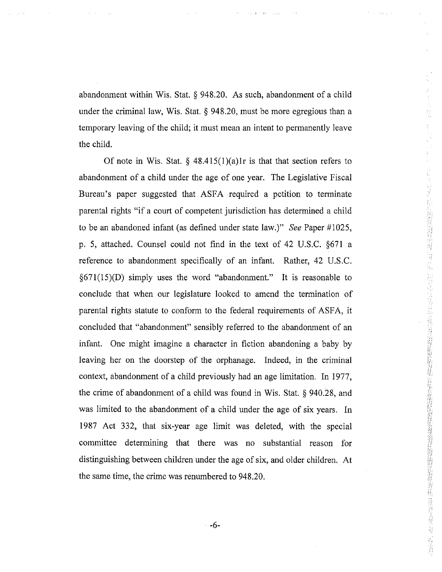abandonment within Wis. Stat. § 948.20. As such, abandonment of a child under the criminal law, Wis. Stat. § 948.20, must be more egregious than a temporary leaving of the child; it must mean an intent to permanently leave the child.

Of note in Wis. Stat.  $\S$  48.415(1)(a)lr is that that section refers to abandonment of a child under the age of one year. The Legislative Fiscal Bureau's paper suggested that ASFA required <sup>a</sup> petition to terminate parental rights "if <sup>a</sup> court of competent jurisdiction has determined <sup>a</sup> child to be an abandoned infant (as defined under state law.)" *See* Paper #1025, p. 5, attached. Counsel could not find in the text of 42 U.S.C. §671 <sup>a</sup> reference to abandomnent specifically of an infant, Rather, 42 U.S.C.  $\S671(15)(D)$  simply uses the word "abandonment." It is reasonable to conclude that when our legislature looked to amend the termination of parental rights statute to conform to the federal requirements of ASFA, it concluded that "abandonment" sensibly referred to the abandonment of an infant. One might imagine a character in fiction abandoning a baby by leaving her on the doorstep of the orphanage. Indeed, in the criminal context, abandonment of <sup>a</sup> child previously had an age limitation. In 1977, the crime of abandonment of <sup>a</sup> child was found in Wis. Stat. § 940.28, and was limited to the abandonment of a child under the age of six years. In 1987 Act 332, that six-year age limit was deleted, with the special committee determining that there was no substantial reason for distinguishing between children under the age of six, and older children. At the same time, the crime was renumbered to 948.20.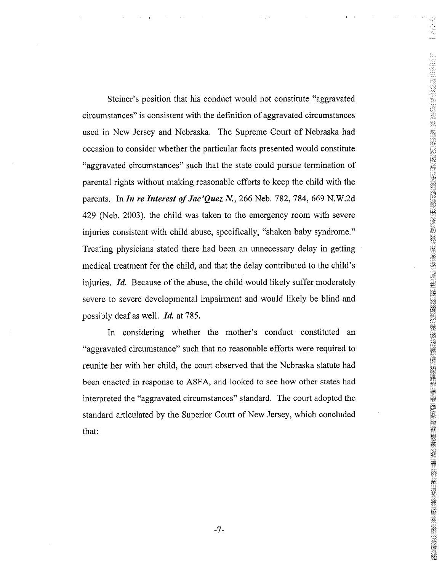Steiner ' <sup>s</sup> position that his conduct would not constitute "aggravated circumstances" is consistent with the definition of aggravated circumstances used in New Jersey and Nebraska. The Supreme Court of Nebraska had occasion to consider whether the particular facts presented would constitute "aggravated circumstances" such that the state could pursue termination of parental rights without making reasonable efforts to keep the child with the parents. In *In re Interest ofJac 'Quez N.,* 266 Neb. 782, 784, 669 N.W.2d 429 (Neb. 2003), the child was taken to the emergency room with severe injuries consistent with child abuse, specifically, "shaken baby syndrome. " Treating physicians stated there had been an unnecessary delay in getting medical treatment for the child, and that the delay contributed to the child ' s injuries. *Id.* Because of the abuse, the child would likely suffer moderately severe to severe developmental impairment and would likely be blind and possibly deaf as well, *Id.* at 785.

*m*

**1***Zii* **1***m***sI**

*m*liSJ *m.* **1**

**11i***m***i***mm*

f.Sf *mmm 'mM*

**1**

*mmmm***I**

fas**1**

**Manufacture**<br>**Manufacture** 

**1***m*

*Wi m***i**

*m. m*

**if»is**

**isi&**

In considering whether the mother ' s conduct constituted an "aggravated circumstance " such that no reasonable efforts were required to reunite her with her child, the court observed that the Nebraska statute had been enacted in response to ASFA, and looked to see how other states had interpreted the "aggravated circumstances " standard. The court adopted the standard articulated by the Superior Court of New Jersey, which concluded that: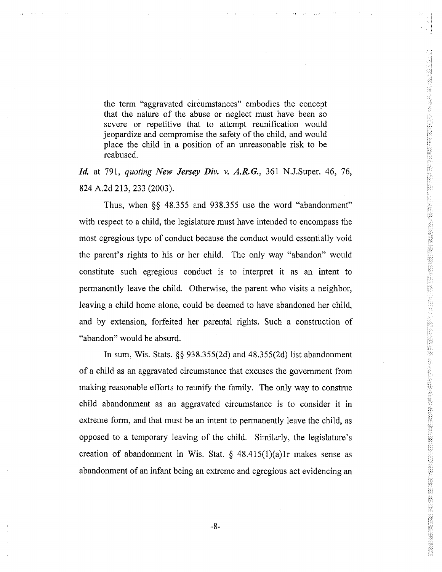the term "aggravated circumstances" embodies the concept that the nature of the abuse or neglect must have been so severe or repetitive that to attempt reunification would jeopardize and compromise the safety of the child, and would place the child in a position of an unreasonable risk to be reabused,

**Ti Ti**

*Id.* at 791, *quoting New Jersey Div. v. A.R.G.,* 361 N.J.Super. 46, 76, 824 A.2d 213, 233 (2003).

Thus, when §§ 48.355 and 938.355 use the word "abandonment" with respect to a child, the legislature must have intended to encompass the most egregious type of conduct because the conduct would essentially void the parent's rights to his or her child. The only way "abandon" would constitute such egregious conduct is to interpret it as an intent to permanently leave the child. Otherwise, the parent who visits a neighbor, leaving a child home alone, could be deemed to have abandoned her child, and by extension, forfeited her parental rights. Such a construction of "abandon" would be absurd.

In sum, Wis. Stats. §§ 938.355(2d) and 48.355(2d) list abandonment of a child as an aggravated circumstance that excuses the government from making reasonable efforts to reunify the family. The only way to construe child abandonment as an aggravated circumstance is to consider it in extreme form, and that must be an intent to permanently leave the child, as opposed to <sup>a</sup> temporary leaving of the child. Similarly, the legislature's creation of abandonment in Wis. Stat.  $\S$  48.415(1)(a)1r makes sense as abandonment of an infant being an extreme and egregious act evidencing an

-8-